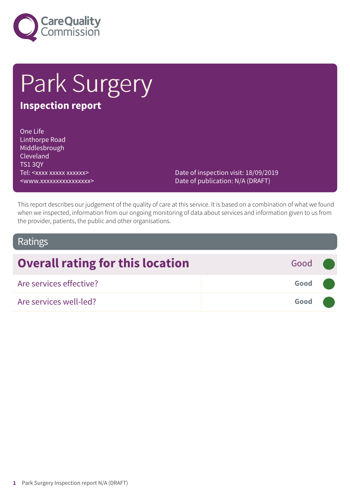

# Park Surgery

# **Inspection report**

One Life Linthorpe Road Middlesbrough Cleveland TS1 3QY Tel: <xxxx xxxxx xxxxxx> <www.xxxxxxxxxxxxxxxx>

Date of inspection visit: 18/09/2019 Date of publication: N/A (DRAFT)

This report describes our judgement of the quality of care at this service. It is based on a combination of what we found when we inspected, information from our ongoing monitoring of data about services and information given to us from the provider, patients, the public and other organisations.

### Ratings

| <b>Overall rating for this location</b> | Good (              |  |
|-----------------------------------------|---------------------|--|
| Are services effective?                 | Good <b>Company</b> |  |
| Are services well-led?                  | Good <b>Company</b> |  |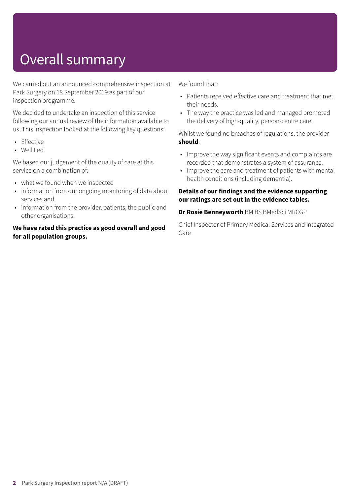# Overall summary

We carried out an announced comprehensive inspection at Park Surgery on 18 September 2019 as part of our inspection programme.

We decided to undertake an inspection of this service following our annual review of the information available to us. This inspection looked at the following key questions:

- Effective
- Well Led

We based our judgement of the quality of care at this service on a combination of:

- what we found when we inspected
- information from our ongoing monitoring of data about services and
- information from the provider, patients, the public and other organisations.

#### **We have rated this practice as good overall and good for all population groups.**

We found that:

- Patients received effective care and treatment that met their needs.
- The way the practice was led and managed promoted the delivery of high-quality, person-centre care.

Whilst we found no breaches of regulations, the provider **should**:

- Improve the way significant events and complaints are recorded that demonstrates a system of assurance.
- Improve the care and treatment of patients with mental health conditions (including dementia).

#### **Details of our findings and the evidence supporting our ratings are set out in the evidence tables.**

**Dr Rosie Benneyworth** BM BS BMedSci MRCGP

Chief Inspector of Primary Medical Services and Integrated Care